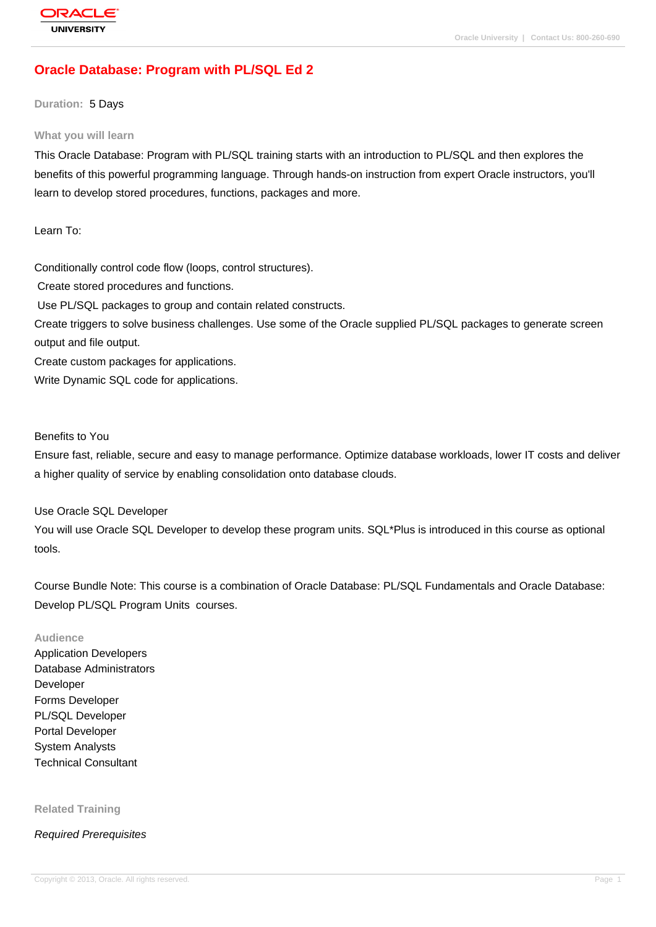# **[Oracle Databas](http://education.oracle.com/pls/web_prod-plq-dad/db_pages.getpage?page_id=3)e: Program with PL/SQL Ed 2**

**Duration:** 5 Days

#### **What you will learn**

This Oracle Database: Program with PL/SQL training starts with an introduction to PL/SQL and then explores the benefits of this powerful programming language. Through hands-on instruction from expert Oracle instructors, you'll learn to develop stored procedures, functions, packages and more.

Learn To:

Conditionally control code flow (loops, control structures).

Create stored procedures and functions.

Use PL/SQL packages to group and contain related constructs.

Create triggers to solve business challenges. Use some of the Oracle supplied PL/SQL packages to generate screen output and file output.

Create custom packages for applications.

Write Dynamic SQL code for applications.

Benefits to You

Ensure fast, reliable, secure and easy to manage performance. Optimize database workloads, lower IT costs and deliver a higher quality of service by enabling consolidation onto database clouds.

Use Oracle SQL Developer

You will use Oracle SQL Developer to develop these program units. SQL\*Plus is introduced in this course as optional tools.

Course Bundle Note: This course is a combination of Oracle Database: PL/SQL Fundamentals and Oracle Database: Develop PL/SQL Program Units courses.

#### **Audience**

Application Developers Database Administrators Developer Forms Developer PL/SQL Developer Portal Developer System Analysts Technical Consultant

**Related Training**

Required Prerequisites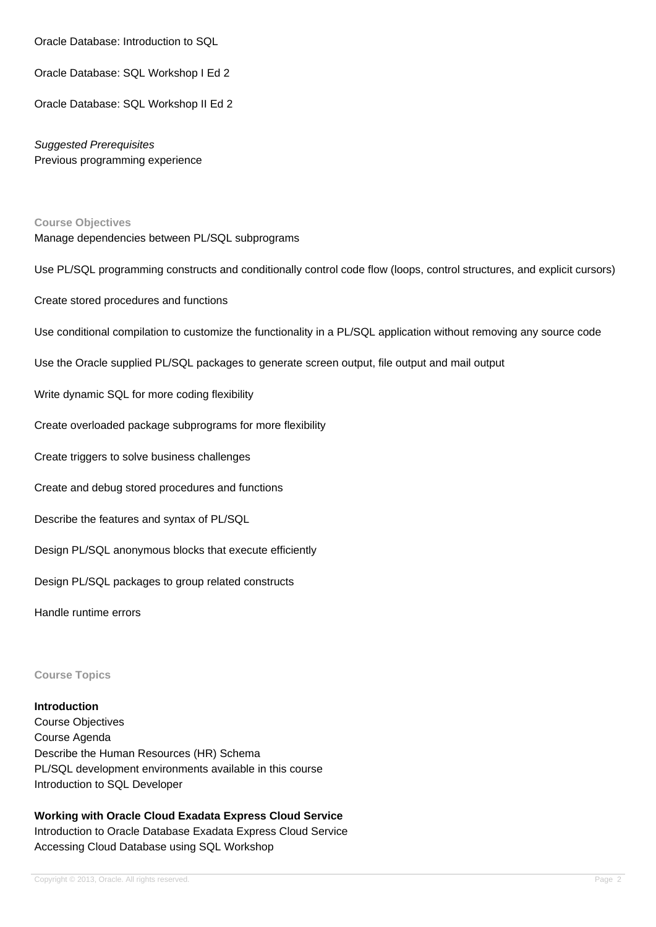Oracle Database: Introduction to SQL

Oracle Database: SQL Workshop I Ed 2

Oracle Database: SQL Workshop II Ed 2

Suggested Prerequisites Previous programming experience

#### **Course Objectives**

Manage dependencies between PL/SQL subprograms

Use PL/SQL programming constructs and conditionally control code flow (loops, control structures, and explicit cursors)

Create stored procedures and functions

Use conditional compilation to customize the functionality in a PL/SQL application without removing any source code

Use the Oracle supplied PL/SQL packages to generate screen output, file output and mail output

Write dynamic SQL for more coding flexibility

Create overloaded package subprograms for more flexibility

Create triggers to solve business challenges

Create and debug stored procedures and functions

Describe the features and syntax of PL/SQL

Design PL/SQL anonymous blocks that execute efficiently

Design PL/SQL packages to group related constructs

Handle runtime errors

**Course Topics**

#### **Introduction**

Course Objectives Course Agenda Describe the Human Resources (HR) Schema PL/SQL development environments available in this course Introduction to SQL Developer

**Working with Oracle Cloud Exadata Express Cloud Service** Introduction to Oracle Database Exadata Express Cloud Service Accessing Cloud Database using SQL Workshop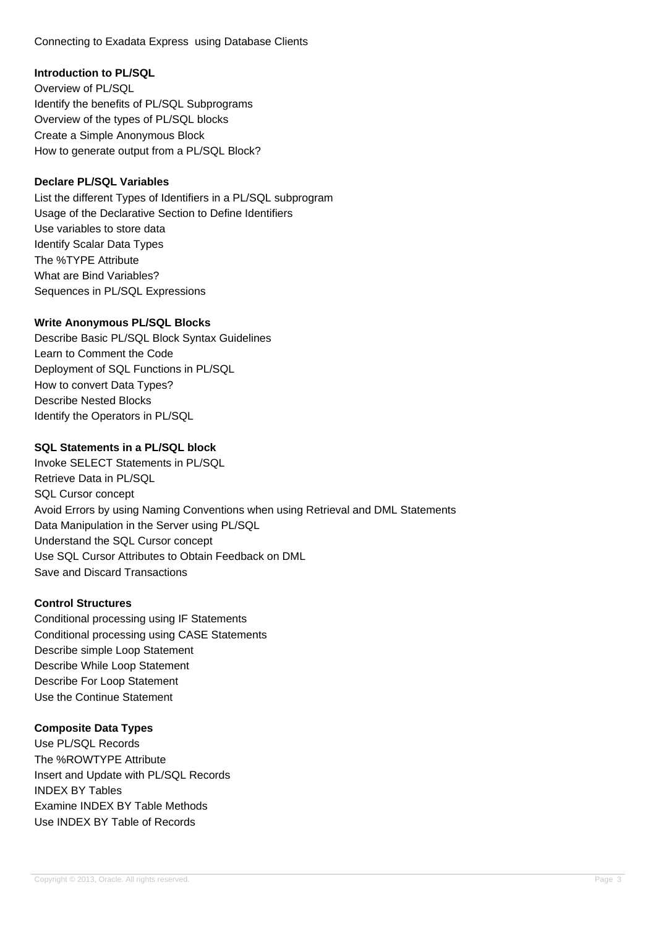Connecting to Exadata Express using Database Clients

#### **Introduction to PL/SQL**

Overview of PL/SQL Identify the benefits of PL/SQL Subprograms Overview of the types of PL/SQL blocks Create a Simple Anonymous Block How to generate output from a PL/SQL Block?

#### **Declare PL/SQL Variables**

List the different Types of Identifiers in a PL/SQL subprogram Usage of the Declarative Section to Define Identifiers Use variables to store data Identify Scalar Data Types The %TYPE Attribute What are Bind Variables? Sequences in PL/SQL Expressions

#### **Write Anonymous PL/SQL Blocks**

Describe Basic PL/SQL Block Syntax Guidelines Learn to Comment the Code Deployment of SQL Functions in PL/SQL How to convert Data Types? Describe Nested Blocks Identify the Operators in PL/SQL

## **SQL Statements in a PL/SQL block**

Invoke SELECT Statements in PL/SQL Retrieve Data in PL/SQL SQL Cursor concept Avoid Errors by using Naming Conventions when using Retrieval and DML Statements Data Manipulation in the Server using PL/SQL Understand the SQL Cursor concept Use SQL Cursor Attributes to Obtain Feedback on DML Save and Discard Transactions

#### **Control Structures**

Conditional processing using IF Statements Conditional processing using CASE Statements Describe simple Loop Statement Describe While Loop Statement Describe For Loop Statement Use the Continue Statement

## **Composite Data Types**

Use PL/SQL Records The %ROWTYPE Attribute Insert and Update with PL/SQL Records INDEX BY Tables Examine INDEX BY Table Methods Use INDEX BY Table of Records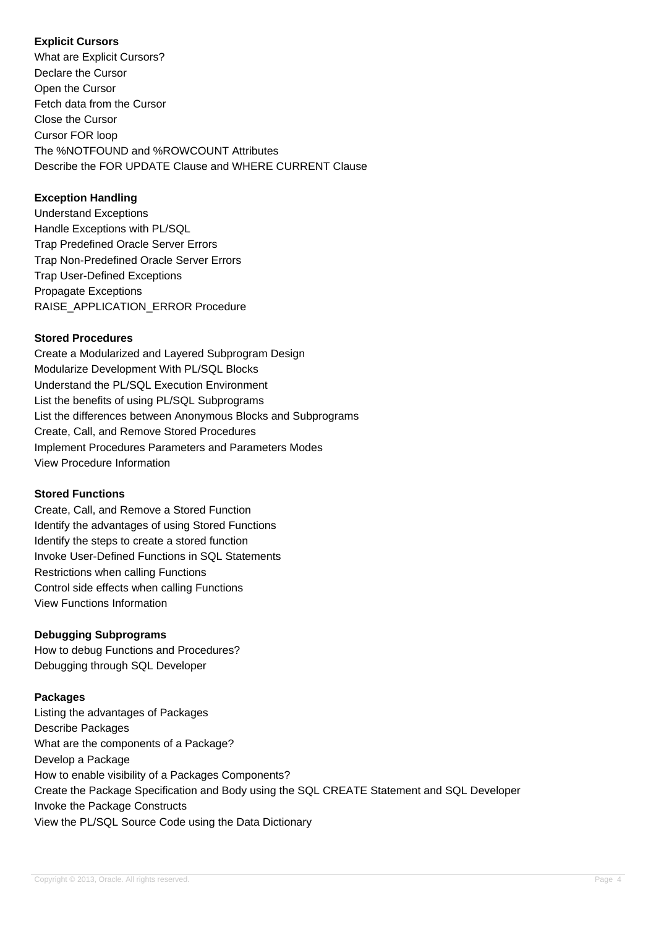## **Explicit Cursors**

What are Explicit Cursors? Declare the Cursor Open the Cursor Fetch data from the Cursor Close the Cursor Cursor FOR loop The %NOTFOUND and %ROWCOUNT Attributes Describe the FOR UPDATE Clause and WHERE CURRENT Clause

## **Exception Handling**

Understand Exceptions Handle Exceptions with PL/SQL Trap Predefined Oracle Server Errors Trap Non-Predefined Oracle Server Errors Trap User-Defined Exceptions Propagate Exceptions RAISE\_APPLICATION\_ERROR Procedure

## **Stored Procedures**

Create a Modularized and Layered Subprogram Design Modularize Development With PL/SQL Blocks Understand the PL/SQL Execution Environment List the benefits of using PL/SQL Subprograms List the differences between Anonymous Blocks and Subprograms Create, Call, and Remove Stored Procedures Implement Procedures Parameters and Parameters Modes View Procedure Information

## **Stored Functions**

Create, Call, and Remove a Stored Function Identify the advantages of using Stored Functions Identify the steps to create a stored function Invoke User-Defined Functions in SQL Statements Restrictions when calling Functions Control side effects when calling Functions View Functions Information

## **Debugging Subprograms**

How to debug Functions and Procedures? Debugging through SQL Developer

## **Packages**

Listing the advantages of Packages Describe Packages What are the components of a Package? Develop a Package How to enable visibility of a Packages Components? Create the Package Specification and Body using the SQL CREATE Statement and SQL Developer Invoke the Package Constructs View the PL/SQL Source Code using the Data Dictionary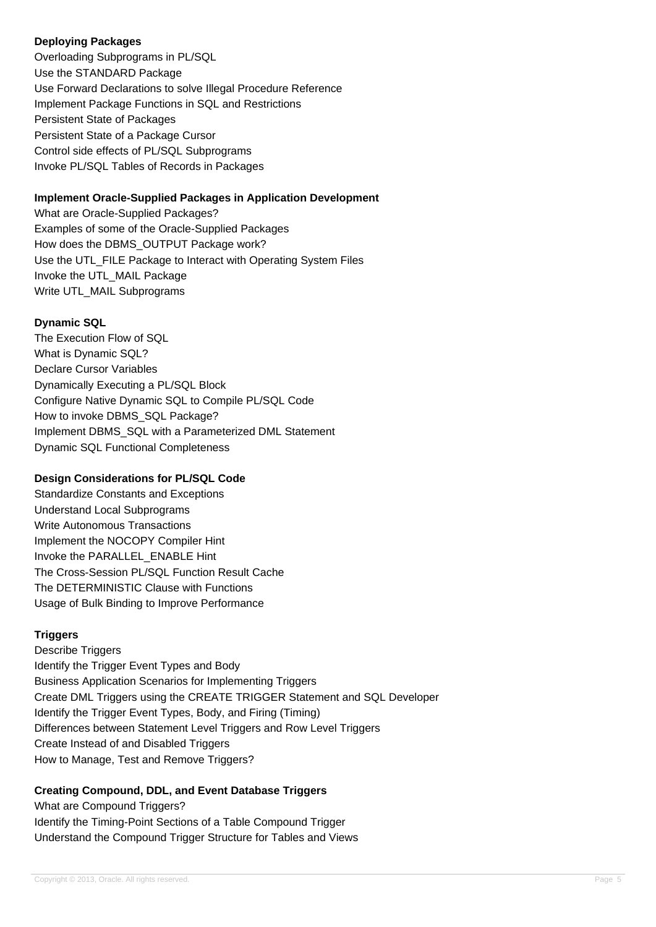#### **Deploying Packages**

Overloading Subprograms in PL/SQL Use the STANDARD Package Use Forward Declarations to solve Illegal Procedure Reference Implement Package Functions in SQL and Restrictions Persistent State of Packages Persistent State of a Package Cursor Control side effects of PL/SQL Subprograms Invoke PL/SQL Tables of Records in Packages

## **Implement Oracle-Supplied Packages in Application Development**

What are Oracle-Supplied Packages? Examples of some of the Oracle-Supplied Packages How does the DBMS\_OUTPUT Package work? Use the UTL\_FILE Package to Interact with Operating System Files Invoke the UTL\_MAIL Package Write UTL\_MAIL Subprograms

#### **Dynamic SQL**

The Execution Flow of SQL What is Dynamic SQL? Declare Cursor Variables Dynamically Executing a PL/SQL Block Configure Native Dynamic SQL to Compile PL/SQL Code How to invoke DBMS\_SQL Package? Implement DBMS\_SQL with a Parameterized DML Statement Dynamic SQL Functional Completeness

## **Design Considerations for PL/SQL Code**

Standardize Constants and Exceptions Understand Local Subprograms Write Autonomous Transactions Implement the NOCOPY Compiler Hint Invoke the PARALLEL\_ENABLE Hint The Cross-Session PL/SQL Function Result Cache The DETERMINISTIC Clause with Functions Usage of Bulk Binding to Improve Performance

#### **Triggers**

Describe Triggers Identify the Trigger Event Types and Body Business Application Scenarios for Implementing Triggers Create DML Triggers using the CREATE TRIGGER Statement and SQL Developer Identify the Trigger Event Types, Body, and Firing (Timing) Differences between Statement Level Triggers and Row Level Triggers Create Instead of and Disabled Triggers How to Manage, Test and Remove Triggers?

## **Creating Compound, DDL, and Event Database Triggers**

What are Compound Triggers? Identify the Timing-Point Sections of a Table Compound Trigger Understand the Compound Trigger Structure for Tables and Views